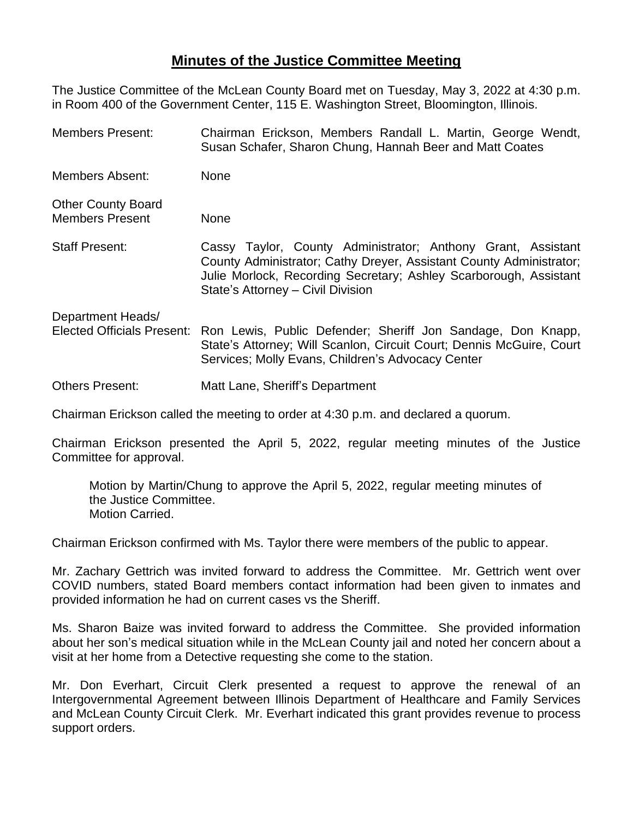## **Minutes of the Justice Committee Meeting**

The Justice Committee of the McLean County Board met on Tuesday, May 3, 2022 at 4:30 p.m. in Room 400 of the Government Center, 115 E. Washington Street, Bloomington, Illinois.

| <b>Members Present:</b>                                                                                                                                                                                                                            | Chairman Erickson, Members Randall L. Martin, George Wendt,<br>Susan Schafer, Sharon Chung, Hannah Beer and Matt Coates                                                                                                                       |  |  |  |
|----------------------------------------------------------------------------------------------------------------------------------------------------------------------------------------------------------------------------------------------------|-----------------------------------------------------------------------------------------------------------------------------------------------------------------------------------------------------------------------------------------------|--|--|--|
| Members Absent:                                                                                                                                                                                                                                    | None                                                                                                                                                                                                                                          |  |  |  |
| <b>Other County Board</b><br><b>Members Present</b>                                                                                                                                                                                                | None                                                                                                                                                                                                                                          |  |  |  |
| <b>Staff Present:</b>                                                                                                                                                                                                                              | Cassy Taylor, County Administrator; Anthony Grant, Assistant<br>County Administrator; Cathy Dreyer, Assistant County Administrator;<br>Julie Morlock, Recording Secretary; Ashley Scarborough, Assistant<br>State's Attorney - Civil Division |  |  |  |
| Department Heads/<br><b>Elected Officials Present:</b><br>Ron Lewis, Public Defender; Sheriff Jon Sandage, Don Knapp,<br>State's Attorney; Will Scanlon, Circuit Court; Dennis McGuire, Court<br>Services; Molly Evans, Children's Advocacy Center |                                                                                                                                                                                                                                               |  |  |  |
| Others Present:                                                                                                                                                                                                                                    | Matt Lane, Sheriff's Department                                                                                                                                                                                                               |  |  |  |
|                                                                                                                                                                                                                                                    |                                                                                                                                                                                                                                               |  |  |  |

Chairman Erickson called the meeting to order at 4:30 p.m. and declared a quorum.

Chairman Erickson presented the April 5, 2022, regular meeting minutes of the Justice Committee for approval.

Motion by Martin/Chung to approve the April 5, 2022, regular meeting minutes of the Justice Committee. Motion Carried.

Chairman Erickson confirmed with Ms. Taylor there were members of the public to appear.

Mr. Zachary Gettrich was invited forward to address the Committee. Mr. Gettrich went over COVID numbers, stated Board members contact information had been given to inmates and provided information he had on current cases vs the Sheriff.

Ms. Sharon Baize was invited forward to address the Committee. She provided information about her son's medical situation while in the McLean County jail and noted her concern about a visit at her home from a Detective requesting she come to the station.

Mr. Don Everhart, Circuit Clerk presented a request to approve the renewal of an Intergovernmental Agreement between Illinois Department of Healthcare and Family Services and McLean County Circuit Clerk. Mr. Everhart indicated this grant provides revenue to process support orders.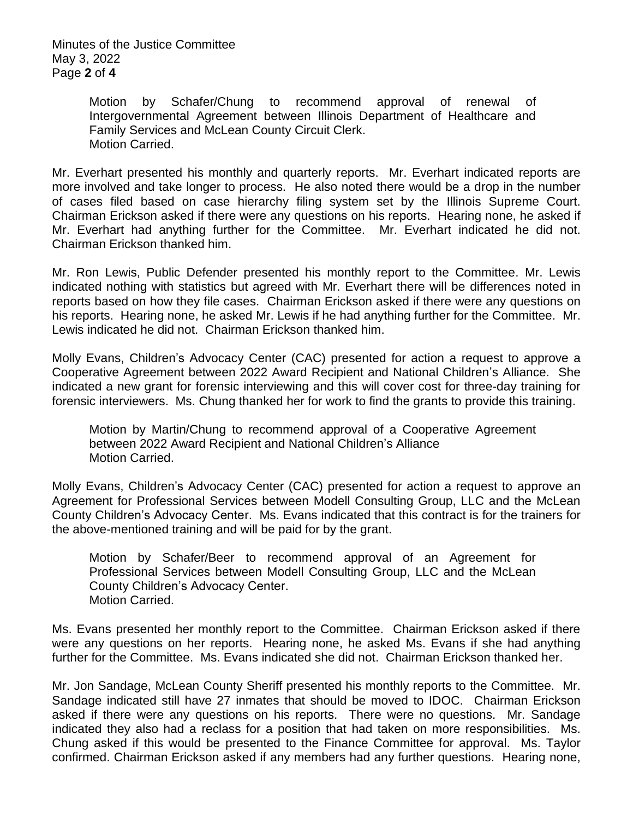Minutes of the Justice Committee May 3, 2022 Page **2** of **4**

> Motion by Schafer/Chung to recommend approval of renewal of Intergovernmental Agreement between Illinois Department of Healthcare and Family Services and McLean County Circuit Clerk. Motion Carried.

Mr. Everhart presented his monthly and quarterly reports. Mr. Everhart indicated reports are more involved and take longer to process. He also noted there would be a drop in the number of cases filed based on case hierarchy filing system set by the Illinois Supreme Court. Chairman Erickson asked if there were any questions on his reports. Hearing none, he asked if Mr. Everhart had anything further for the Committee. Mr. Everhart indicated he did not. Chairman Erickson thanked him.

Mr. Ron Lewis, Public Defender presented his monthly report to the Committee. Mr. Lewis indicated nothing with statistics but agreed with Mr. Everhart there will be differences noted in reports based on how they file cases. Chairman Erickson asked if there were any questions on his reports. Hearing none, he asked Mr. Lewis if he had anything further for the Committee. Mr. Lewis indicated he did not. Chairman Erickson thanked him.

Molly Evans, Children's Advocacy Center (CAC) presented for action a request to approve a Cooperative Agreement between 2022 Award Recipient and National Children's Alliance. She indicated a new grant for forensic interviewing and this will cover cost for three-day training for forensic interviewers. Ms. Chung thanked her for work to find the grants to provide this training.

Motion by Martin/Chung to recommend approval of a Cooperative Agreement between 2022 Award Recipient and National Children's Alliance Motion Carried.

Molly Evans, Children's Advocacy Center (CAC) presented for action a request to approve an Agreement for Professional Services between Modell Consulting Group, LLC and the McLean County Children's Advocacy Center. Ms. Evans indicated that this contract is for the trainers for the above-mentioned training and will be paid for by the grant.

Motion by Schafer/Beer to recommend approval of an Agreement for Professional Services between Modell Consulting Group, LLC and the McLean County Children's Advocacy Center. Motion Carried.

Ms. Evans presented her monthly report to the Committee. Chairman Erickson asked if there were any questions on her reports. Hearing none, he asked Ms. Evans if she had anything further for the Committee. Ms. Evans indicated she did not. Chairman Erickson thanked her.

Mr. Jon Sandage, McLean County Sheriff presented his monthly reports to the Committee. Mr. Sandage indicated still have 27 inmates that should be moved to IDOC. Chairman Erickson asked if there were any questions on his reports. There were no questions. Mr. Sandage indicated they also had a reclass for a position that had taken on more responsibilities. Ms. Chung asked if this would be presented to the Finance Committee for approval. Ms. Taylor confirmed. Chairman Erickson asked if any members had any further questions. Hearing none,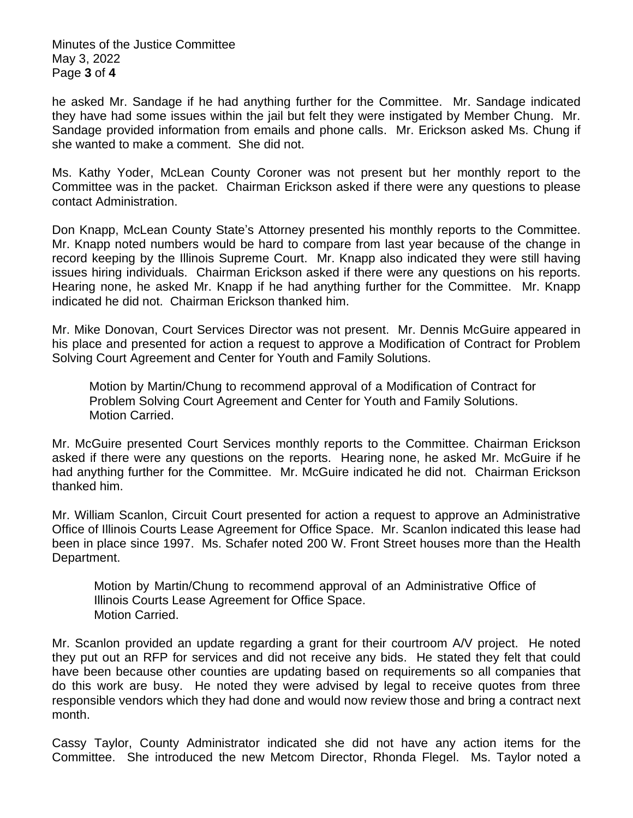Minutes of the Justice Committee May 3, 2022 Page **3** of **4**

he asked Mr. Sandage if he had anything further for the Committee. Mr. Sandage indicated they have had some issues within the jail but felt they were instigated by Member Chung. Mr. Sandage provided information from emails and phone calls. Mr. Erickson asked Ms. Chung if she wanted to make a comment. She did not.

Ms. Kathy Yoder, McLean County Coroner was not present but her monthly report to the Committee was in the packet. Chairman Erickson asked if there were any questions to please contact Administration.

Don Knapp, McLean County State's Attorney presented his monthly reports to the Committee. Mr. Knapp noted numbers would be hard to compare from last year because of the change in record keeping by the Illinois Supreme Court. Mr. Knapp also indicated they were still having issues hiring individuals. Chairman Erickson asked if there were any questions on his reports. Hearing none, he asked Mr. Knapp if he had anything further for the Committee. Mr. Knapp indicated he did not. Chairman Erickson thanked him.

Mr. Mike Donovan, Court Services Director was not present. Mr. Dennis McGuire appeared in his place and presented for action a request to approve a Modification of Contract for Problem Solving Court Agreement and Center for Youth and Family Solutions.

Motion by Martin/Chung to recommend approval of a Modification of Contract for Problem Solving Court Agreement and Center for Youth and Family Solutions. Motion Carried.

Mr. McGuire presented Court Services monthly reports to the Committee. Chairman Erickson asked if there were any questions on the reports. Hearing none, he asked Mr. McGuire if he had anything further for the Committee. Mr. McGuire indicated he did not. Chairman Erickson thanked him.

Mr. William Scanlon, Circuit Court presented for action a request to approve an Administrative Office of Illinois Courts Lease Agreement for Office Space. Mr. Scanlon indicated this lease had been in place since 1997. Ms. Schafer noted 200 W. Front Street houses more than the Health Department.

Motion by Martin/Chung to recommend approval of an Administrative Office of Illinois Courts Lease Agreement for Office Space. Motion Carried.

Mr. Scanlon provided an update regarding a grant for their courtroom A/V project. He noted they put out an RFP for services and did not receive any bids. He stated they felt that could have been because other counties are updating based on requirements so all companies that do this work are busy. He noted they were advised by legal to receive quotes from three responsible vendors which they had done and would now review those and bring a contract next month.

Cassy Taylor, County Administrator indicated she did not have any action items for the Committee. She introduced the new Metcom Director, Rhonda Flegel. Ms. Taylor noted a